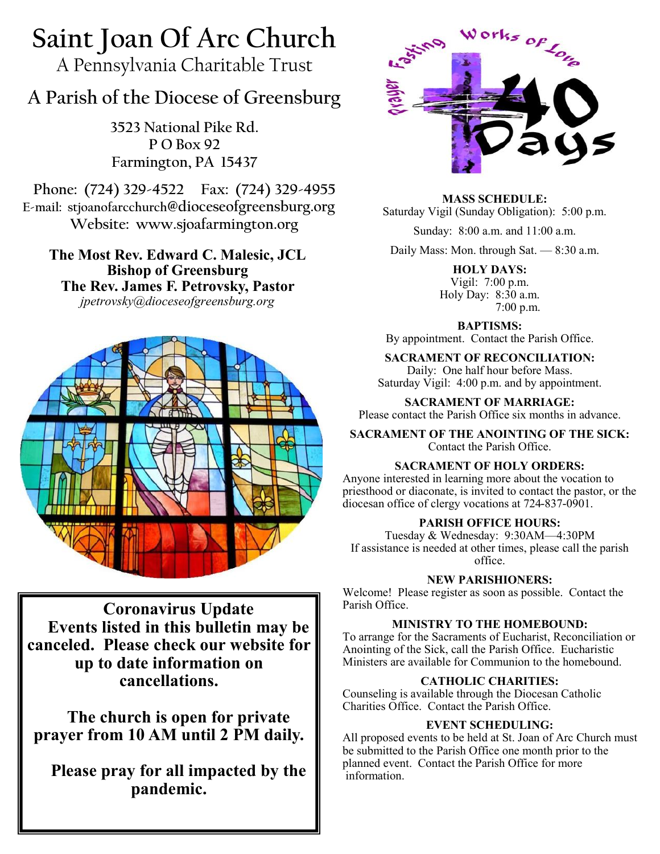# **Saint Joan Of Arc Church**

A Pennsylvania Charitable Trust

# **A Parish of the Diocese of Greensburg**

**3523 National Pike Rd. P O Box 92 Farmington, PA 15437**

**Phone: (724) 329-4522 Fax: (724) 329-4955 E-mail: stjoanofarcchurch@dioceseofgreensburg.org Website: www.sjoafarmington.org**

**The Most Rev. Edward C. Malesic, JCL Bishop of Greensburg The Rev. James F. Petrovsky, Pastor** *jpetrovsky@dioceseofgreensburg.org*



**Coronavirus Update Events listed in this bulletin may be canceled. Please check our website for up to date information on cancellations.** 

**The church is open for private prayer from 10 AM until 2 PM daily.**

**Please pray for all impacted by the pandemic.**



**MASS SCHEDULE:**

Saturday Vigil (Sunday Obligation): 5:00 p.m.

Sunday: 8:00 a.m. and 11:00 a.m.

Daily Mass: Mon. through Sat. — 8:30 a.m.

**HOLY DAYS:** Vigil: 7:00 p.m. Holy Day: 8:30 a.m. 7:00 p.m.

**BAPTISMS:** 

By appointment. Contact the Parish Office.

**SACRAMENT OF RECONCILIATION:** Daily: One half hour before Mass. Saturday Vigil: 4:00 p.m. and by appointment.

**SACRAMENT OF MARRIAGE:** Please contact the Parish Office six months in advance.

**SACRAMENT OF THE ANOINTING OF THE SICK:** Contact the Parish Office.

# **SACRAMENT OF HOLY ORDERS:**

Anyone interested in learning more about the vocation to priesthood or diaconate, is invited to contact the pastor, or the diocesan office of clergy vocations at 724-837-0901.

# **PARISH OFFICE HOURS:**

Tuesday & Wednesday: 9:30AM—4:30PM If assistance is needed at other times, please call the parish office.

# **NEW PARISHIONERS:**

Welcome! Please register as soon as possible. Contact the Parish Office.

#### **MINISTRY TO THE HOMEBOUND:**

To arrange for the Sacraments of Eucharist, Reconciliation or Anointing of the Sick, call the Parish Office. Eucharistic Ministers are available for Communion to the homebound.

# **CATHOLIC CHARITIES:**

Counseling is available through the Diocesan Catholic Charities Office. Contact the Parish Office.

# **EVENT SCHEDULING:**

All proposed events to be held at St. Joan of Arc Church must be submitted to the Parish Office one month prior to the planned event. Contact the Parish Office for more information.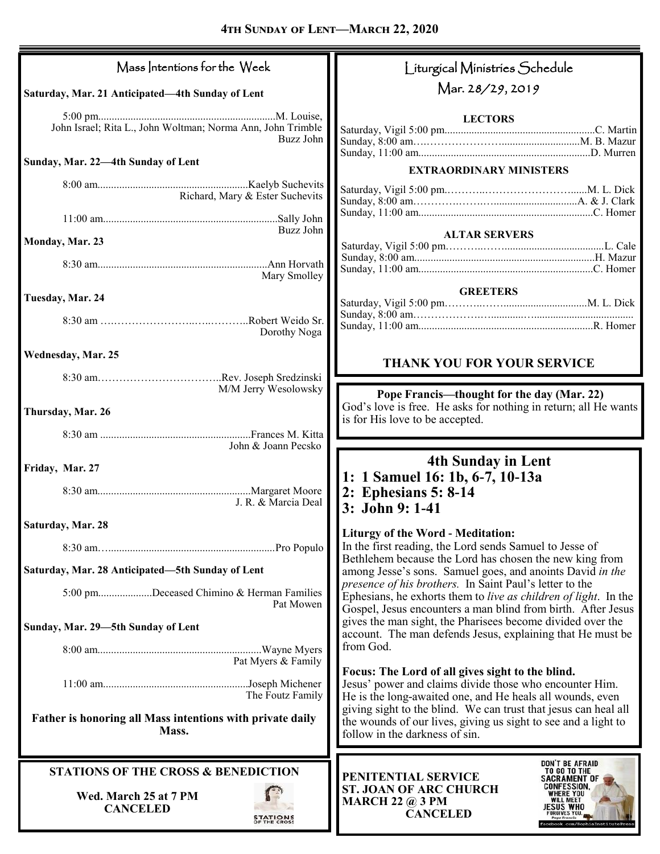| Mass Intentions for the Week                                             | Liturgical Ministries Schedule                                                                                                                                                             |
|--------------------------------------------------------------------------|--------------------------------------------------------------------------------------------------------------------------------------------------------------------------------------------|
| Saturday, Mar. 21 Anticipated-4th Sunday of Lent                         | Mar. 28/29, 2019                                                                                                                                                                           |
| John Israel; Rita L., John Woltman; Norma Ann, John Trimble<br>Buzz John | <b>LECTORS</b>                                                                                                                                                                             |
| Sunday, Mar. 22-4th Sunday of Lent                                       | <b>EXTRAORDINARY MINISTERS</b>                                                                                                                                                             |
| Richard, Mary & Ester Suchevits                                          |                                                                                                                                                                                            |
| Buzz John                                                                |                                                                                                                                                                                            |
| Monday, Mar. 23                                                          | <b>ALTAR SERVERS</b>                                                                                                                                                                       |
| Mary Smolley                                                             |                                                                                                                                                                                            |
| Tuesday, Mar. 24                                                         | <b>GREETERS</b>                                                                                                                                                                            |
| Dorothy Noga                                                             |                                                                                                                                                                                            |
| Wednesday, Mar. 25                                                       | THANK YOU FOR YOUR SERVICE                                                                                                                                                                 |
| M/M Jerry Wesolowsky                                                     | Pope Francis—thought for the day (Mar. 22)                                                                                                                                                 |
| Thursday, Mar. 26                                                        | God's love is free. He asks for nothing in return; all He wants<br>is for His love to be accepted.                                                                                         |
| John & Joann Pecsko                                                      |                                                                                                                                                                                            |
| Friday, Mar. 27                                                          | <b>4th Sunday in Lent</b>                                                                                                                                                                  |
| J. R. & Marcia Deal                                                      | 1: 1 Samuel 16: 1b, 6-7, 10-13a<br>2: Ephesians 5: 8-14<br>3: John 9: 1-41                                                                                                                 |
| Saturday, Mar. 28                                                        | <b>Liturgy of the Word - Meditation:</b>                                                                                                                                                   |
|                                                                          | In the first reading, the Lord sends Samuel to Jesse of<br>Bethlehem because the Lord has chosen the new king from                                                                         |
|                                                                          |                                                                                                                                                                                            |
| Saturday, Mar. 28 Anticipated-5th Sunday of Lent                         | among Jesse's sons. Samuel goes, and anoints David in the                                                                                                                                  |
| 5:00 pmDeceased Chimino & Herman Families<br>Pat Mowen                   | presence of his brothers. In Saint Paul's letter to the<br>Ephesians, he exhorts them to live as children of light. In the<br>Gospel, Jesus encounters a man blind from birth. After Jesus |
| Sunday, Mar. 29-5th Sunday of Lent                                       | gives the man sight, the Pharisees become divided over the<br>account. The man defends Jesus, explaining that He must be                                                                   |
| Pat Myers & Family                                                       | from God.                                                                                                                                                                                  |
| The Foutz Family                                                         | Focus: The Lord of all gives sight to the blind.<br>Jesus' power and claims divide those who encounter Him.<br>He is the long-awaited one, and He heals all wounds, even                   |
| Father is honoring all Mass intentions with private daily<br>Mass.       | giving sight to the blind. We can trust that jesus can heal all<br>the wounds of our lives, giving us sight to see and a light to<br>follow in the darkness of sin.                        |
| <b>STATIONS OF THE CROSS &amp; BENEDICTION</b>                           | <b>DON'T BE AFRAID</b><br>TO GO TO THE<br>PENITENTIAL SERVICE<br><b>SACRAMENT OF</b>                                                                                                       |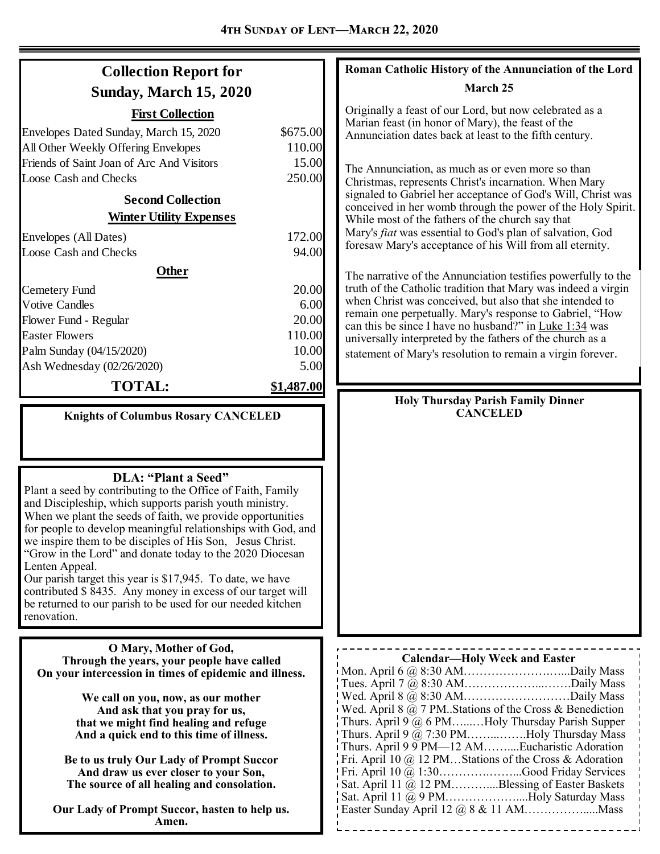| <b>Collection Report for</b>                                                                                                                                                                                                                                                                                                                                                                                                                                                                                                                                                                                                                                                                             |                                                                                              | Roman Catholic History of the Annunciation of the Lord                                                                                                                                                                                                                                                                                                                                                                                                                                                                                                                                                                                                                                                                                                                                                                                                                                                                                                                            |
|----------------------------------------------------------------------------------------------------------------------------------------------------------------------------------------------------------------------------------------------------------------------------------------------------------------------------------------------------------------------------------------------------------------------------------------------------------------------------------------------------------------------------------------------------------------------------------------------------------------------------------------------------------------------------------------------------------|----------------------------------------------------------------------------------------------|-----------------------------------------------------------------------------------------------------------------------------------------------------------------------------------------------------------------------------------------------------------------------------------------------------------------------------------------------------------------------------------------------------------------------------------------------------------------------------------------------------------------------------------------------------------------------------------------------------------------------------------------------------------------------------------------------------------------------------------------------------------------------------------------------------------------------------------------------------------------------------------------------------------------------------------------------------------------------------------|
| <b>Sunday, March 15, 2020</b>                                                                                                                                                                                                                                                                                                                                                                                                                                                                                                                                                                                                                                                                            |                                                                                              | March 25                                                                                                                                                                                                                                                                                                                                                                                                                                                                                                                                                                                                                                                                                                                                                                                                                                                                                                                                                                          |
| <b>First Collection</b><br>Envelopes Dated Sunday, March 15, 2020<br>All Other Weekly Offering Envelopes<br>Friends of Saint Joan of Arc And Visitors<br><b>Loose Cash and Checks</b><br><b>Second Collection</b><br><b>Winter Utility Expenses</b><br>Envelopes (All Dates)<br><b>Loose Cash and Checks</b><br><b>Other</b><br>Cemetery Fund<br><b>Votive Candles</b><br>Flower Fund - Regular<br><b>Easter Flowers</b>                                                                                                                                                                                                                                                                                 | \$675.00<br>110.00<br>15.00<br>250.00<br>172.00<br>94.00<br>20.00<br>6.00<br>20.00<br>110.00 | Originally a feast of our Lord, but now celebrated as a<br>Marian feast (in honor of Mary), the feast of the<br>Annunciation dates back at least to the fifth century.<br>The Annunciation, as much as or even more so than<br>Christmas, represents Christ's incarnation. When Mary<br>signaled to Gabriel her acceptance of God's Will, Christ was<br>conceived in her womb through the power of the Holy Spirit.<br>While most of the fathers of the church say that<br>Mary's fiat was essential to God's plan of salvation, God<br>foresaw Mary's acceptance of his Will from all eternity.<br>The narrative of the Annunciation testifies powerfully to the<br>truth of the Catholic tradition that Mary was indeed a virgin<br>when Christ was conceived, but also that she intended to<br>remain one perpetually. Mary's response to Gabriel, "How<br>can this be since I have no husband?" in Luke 1:34 was<br>universally interpreted by the fathers of the church as a |
| Palm Sunday (04/15/2020)                                                                                                                                                                                                                                                                                                                                                                                                                                                                                                                                                                                                                                                                                 | 10.00                                                                                        | statement of Mary's resolution to remain a virgin forever.                                                                                                                                                                                                                                                                                                                                                                                                                                                                                                                                                                                                                                                                                                                                                                                                                                                                                                                        |
| Ash Wednesday (02/26/2020)<br><b>TOTAL:</b>                                                                                                                                                                                                                                                                                                                                                                                                                                                                                                                                                                                                                                                              | 5.00<br>\$1,487.00                                                                           |                                                                                                                                                                                                                                                                                                                                                                                                                                                                                                                                                                                                                                                                                                                                                                                                                                                                                                                                                                                   |
| <b>Knights of Columbus Rosary CANCELED</b><br>DLA: "Plant a Seed"<br>Plant a seed by contributing to the Office of Faith, Family<br>and Discipleship, which supports parish youth ministry.<br>When we plant the seeds of faith, we provide opportunities<br>for people to develop meaningful relationships with God, and<br>we inspire them to be disciples of His Son, Jesus Christ.<br>"Grow in the Lord" and donate today to the 2020 Diocesan<br>Lenten Appeal.<br>Our parish target this year is \$17,945. To date, we have<br>contributed \$ 8435. Any money in excess of our target will<br>be returned to our parish to be used for our needed kitchen<br>renovation.<br>O Mary, Mother of God, |                                                                                              | <b>Holy Thursday Parish Family Dinner</b><br><b>CANCELED</b>                                                                                                                                                                                                                                                                                                                                                                                                                                                                                                                                                                                                                                                                                                                                                                                                                                                                                                                      |
| Through the years, your people have called<br>On your intercession in times of epidemic and illness.<br>We call on you, now, as our mother<br>And ask that you pray for us,<br>that we might find healing and refuge<br>And a quick end to this time of illness.<br>Be to us truly Our Lady of Prompt Succor<br>And draw us ever closer to your Son,<br>The source of all healing and consolation.<br>Our Lady of Prompt Succor, hasten to help us.<br>Amen.                                                                                                                                                                                                                                             |                                                                                              | <b>Calendar-Holy Week and Easter</b><br>Tues. April 7 $@$ 8:30 AMDaily Mass<br>i Wed. April 8 $@$ 7 PM. Stations of the Cross & Benediction<br>Thurs. April 9 @ 6 PMHoly Thursday Parish Supper<br>Thurs. April 9 @ 7:30 PMHoly Thursday Mass<br>Thurs. April 9 9 PM-12 AMEucharistic Adoration<br>Fri. April 10 @ 12 PMStations of the Cross & Adoration<br>Fri. April 10 @ 1:30Good Friday Services<br>Sat. April 11 @ 12 PMBlessing of Easter Baskets<br>Sat. April 11 @ 9 PMHoly Saturday Mass                                                                                                                                                                                                                                                                                                                                                                                                                                                                                |